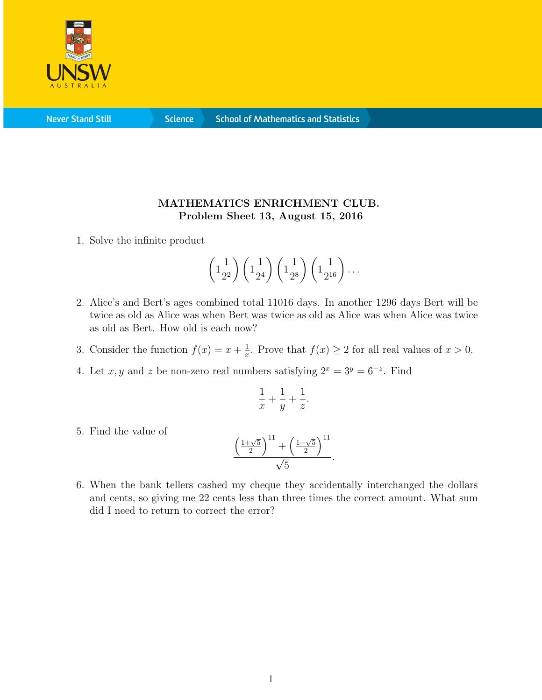

**Never Stand Still** 

**Science** 

## MATHEMATICS ENRICHMENT CLUB. Problem Sheet 13, August 15, 2016

1. Solve the infinite product

$$
\left(1\frac{1}{2^2}\right)\left(1\frac{1}{2^4}\right)\left(1\frac{1}{2^8}\right)\left(1\frac{1}{2^{16}}\right)\dots
$$

- 2. Alice's and Bert's ages combined total 11016 days. In another 1296 days Bert will be twice as old as Alice was when Bert was twice as old as Alice was when Alice was twice as old as Bert. How old is each now?
- 3. Consider the function  $f(x) = x + \frac{1}{x}$  $\frac{1}{x}$ . Prove that  $f(x) \ge 2$  for all real values of  $x > 0$ .
- 4. Let x, y and z be non-zero real numbers satisfying  $2^x = 3^y = 6^{-z}$ . Find

$$
\frac{1}{x} + \frac{1}{y} + \frac{1}{z}.
$$

5. Find the value of

$$
\frac{\left(\frac{1+\sqrt{5}}{2}\right)^{11}+\left(\frac{1-\sqrt{5}}{2}\right)^{11}}{\sqrt{5}}.
$$

6. When the bank tellers cashed my cheque they accidentally interchanged the dollars and cents, so giving me 22 cents less than three times the correct amount. What sum did I need to return to correct the error?